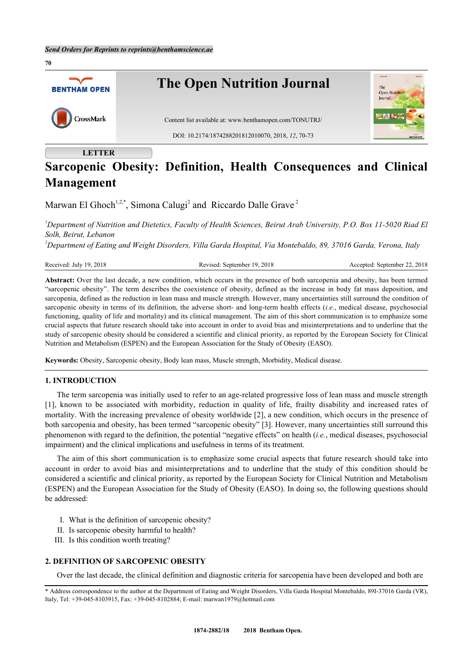

# **Sarcopenic Obesity: Definition, Health Consequences and Clinical Management**

Marwan El Ghoch<sup>[1,](#page-0-0)[2,](#page-0-1)[\\*](#page-0-2)</sup>, Simona Calugi<sup>[2](#page-0-1)</sup> and Riccardo Dalle Grave<sup>2</sup>

<span id="page-0-0"></span>*<sup>1</sup>Department of Nutrition and Dietetics, Faculty of Health Sciences, Beirut Arab University, P.O. Box 11-5020 Riad El Solh, Beirut, Lebanon*

<span id="page-0-1"></span>*<sup>2</sup>Department of Eating and Weight Disorders, Villa Garda Hospital, Via Montebaldo, 89, 37016 Garda, Verona, Italy*

Received: July 19, 2018 Revised: September 19, 2018 Accepted: September 22, 2018

**Abstract:** Over the last decade, a new condition, which occurs in the presence of both sarcopenia and obesity, has been termed "sarcopenic obesity". The term describes the coexistence of obesity, defined as the increase in body fat mass deposition, and sarcopenia, defined as the reduction in lean mass and muscle strength. However, many uncertainties still surround the condition of sarcopenic obesity in terms of its definition, the adverse short- and long-term health effects (*i.e.*, medical disease, psychosocial functioning, quality of life and mortality) and its clinical management. The aim of this short communication is to emphasize some crucial aspects that future research should take into account in order to avoid bias and misinterpretations and to underline that the study of sarcopenic obesity should be considered a scientific and clinical priority, as reported by the European Society for Clinical Nutrition and Metabolism (ESPEN) and the European Association for the Study of Obesity (EASO).

**Keywords:** Obesity, Sarcopenic obesity, Body lean mass, Muscle strength, Morbidity, Medical disease.

#### **1. INTRODUCTION**

The term sarcopenia was initially used to refer to an age-related progressive loss of lean mass and muscle strength [\[1](#page-2-0)], known to be associated with morbidity, reduction in quality of life, frailty disability and increased rates of mortality. With the increasing prevalence of obesity worldwide [\[2](#page-2-1)], a new condition, which occurs in the presence of both sarcopenia and obesity, has been termed "sarcopenic obesity" [[3\]](#page-2-2). However, many uncertainties still surround this phenomenon with regard to the definition, the potential "negative effects" on health (*i.e.*, medical diseases, psychosocial impairment) and the clinical implications and usefulness in terms of its treatment.

The aim of this short communication is to emphasize some crucial aspects that future research should take into account in order to avoid bias and misinterpretations and to underline that the study of this condition should be considered a scientific and clinical priority, as reported by the European Society for Clinical Nutrition and Metabolism (ESPEN) and the European Association for the Study of Obesity (EASO). In doing so, the following questions should be addressed:

- I. What is the definition of sarcopenic obesity?
- II. Is sarcopenic obesity harmful to health?
- III. Is this condition worth treating?

# **2. DEFINITION OF SARCOPENIC OBESITY**

Over the last decade, the clinical definition and diagnostic criteria for sarcopenia have been developed and both are

<span id="page-0-2"></span><sup>\*</sup> Address correspondence to the author at the Department of Eating and Weight Disorders, Villa Garda Hospital Montebaldo, 89I-37016 Garda (VR), Italy, Tel: +39-045-8103915, Fax: +39-045-8102884; E-mail: [marwan1979@hotmail.com](mailto:marwan1979@hotmail.com)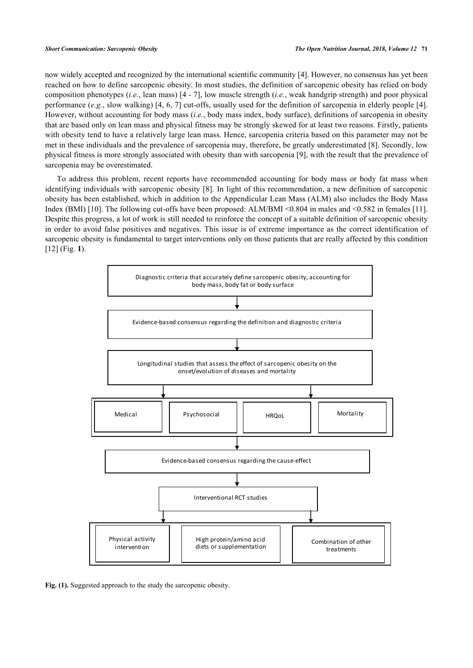now widely accepted and recognized by the international scientific community [\[4](#page-2-3)]. However, no consensus has yet been reached on how to define sarcopenic obesity. In most studies, the definition of sarcopenic obesity has relied on body composition phenotypes (*i.e.*, lean mass) [[4](#page-2-3) - [7\]](#page-3-0), low muscle strength (*i.e.*, weak handgrip strength) and poor physical performance (*e.g.*, slow walking) [[4](#page-2-3), [6,](#page-3-1) [7\]](#page-3-0) cut-offs, usually used for the definition of sarcopenia in elderly people [[4\]](#page-2-3). However, without accounting for body mass (*i.e.*, body mass index, body surface), definitions of sarcopenia in obesity that are based only on lean mass and physical fitness may be strongly skewed for at least two reasons. Firstly, patients with obesity tend to have a relatively large lean mass. Hence, sarcopenia criteria based on this parameter may not be met in these individuals and the prevalence of sarcopenia may, therefore, be greatly underestimated [[8](#page-3-2)]. Secondly, low physical fitness is more strongly associated with obesity than with sarcopenia [[9\]](#page-3-3), with the result that the prevalence of sarcopenia may be overestimated.

To address this problem, recent reports have recommended accounting for body mass or body fat mass when identifying individuals with sarcopenic obesity [[8\]](#page-3-2). In light of this recommendation, a new definition of sarcopenic obesity has been established, which in addition to the Appendicular Lean Mass (ALM) also includes the Body Mass Index (BMI) [[10](#page-3-4)]. The following cut-offs have been proposed: ALM/BMI <0.804 in males and <0.582 in females [[11\]](#page-3-5). Despite this progress, a lot of work is still needed to reinforce the concept of a suitable definition of sarcopenic obesity in order to avoid false positives and negatives. This issue is of extreme importance as the correct identification of sarcopenic obesity is fundamental to target interventions only on those patients that are really affected by this condition [\[12](#page-3-6)] (Fig. [1](#page-1-0)).

<span id="page-1-0"></span>

Fig. (1). Suggested approach to the study the sarcopenic obesity.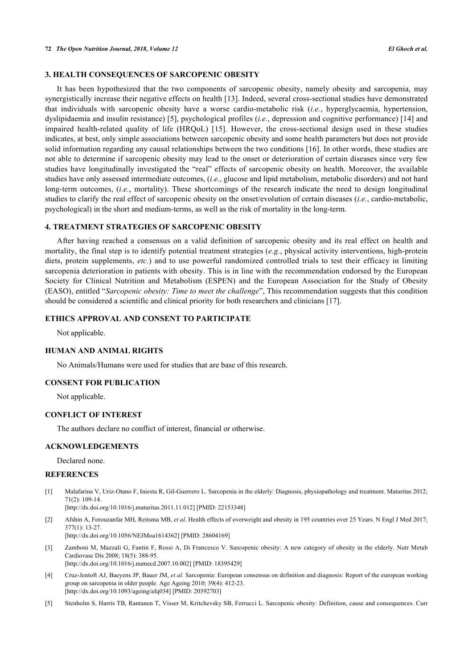## **3. HEALTH CONSEQUENCES OF SARCOPENIC OBESITY**

It has been hypothesized that the two components of sarcopenic obesity, namely obesity and sarcopenia, may synergistically increase their negative effects on health [[13\]](#page-3-7). Indeed, several cross-sectional studies have demonstrated that individuals with sarcopenic obesity have a worse cardio-metabolic risk (*i.e.*, hyperglycaemia, hypertension, dyslipidaemia and insulin resistance) [\[5](#page-2-4)], psychological profiles (*i.e.*, depression and cognitive performance) [[14\]](#page-3-8) and impaired health-related quality of life (HRQoL) [\[15](#page-3-9)]. However, the cross-sectional design used in these studies indicates, at best, only simple associations between sarcopenic obesity and some health parameters but does not provide solid information regarding any causal relationships between the two conditions [[16\]](#page-3-10). In other words, these studies are not able to determine if sarcopenic obesity may lead to the onset or deterioration of certain diseases since very few studies have longitudinally investigated the "real" effects of sarcopenic obesity on health. Moreover, the available studies have only assessed intermediate outcomes, (*i.e.*, glucose and lipid metabolism, metabolic disorders) and not hard long-term outcomes, (*i.e.*, mortality). These shortcomings of the research indicate the need to design longitudinal studies to clarify the real effect of sarcopenic obesity on the onset/evolution of certain diseases (*i.e.*, cardio-metabolic, psychological) in the short and medium-terms, as well as the risk of mortality in the long-term.

#### **4. TREATMENT STRATEGIES OF SARCOPENIC OBESITY**

After having reached a consensus on a valid definition of sarcopenic obesity and its real effect on health and mortality, the final step is to identify potential treatment strategies (*e.g.*, physical activity interventions, high-protein diets, protein supplements, *etc.*) and to use powerful randomized controlled trials to test their efficacy in limiting sarcopenia deterioration in patients with obesity. This is in line with the recommendation endorsed by the European Society for Clinical Nutrition and Metabolism (ESPEN) and the European Association for the Study of Obesity (EASO), entitled "*Sarcopenic obesity: Time to meet the challenge*", This recommendation suggests that this condition should be considered a scientific and clinical priority for both researchers and clinicians [\[17](#page-3-11)].

# **ETHICS APPROVAL AND CONSENT TO PARTICIPATE**

Not applicable.

## **HUMAN AND ANIMAL RIGHTS**

No Animals/Humans were used for studies that are base of this research.

#### **CONSENT FOR PUBLICATION**

Not applicable.

## **CONFLICT OF INTEREST**

The authors declare no conflict of interest, financial or otherwise.

#### **ACKNOWLEDGEMENTS**

Declared none.

#### **REFERENCES**

- <span id="page-2-0"></span>[1] Malafarina V, Uriz-Otano F, Iniesta R, Gil-Guerrero L. Sarcopenia in the elderly: Diagnosis, physiopathology and treatment. Maturitas 2012;  $71(2): 109-14.$ 
	- [\[http://dx.doi.org/10.1016/j.maturitas.2011.11.012\]](http://dx.doi.org/10.1016/j.maturitas.2011.11.012) [PMID: [22153348](http://www.ncbi.nlm.nih.gov/pubmed/22153348)]
- <span id="page-2-1"></span>[2] Afshin A, Forouzanfar MH, Reitsma MB, *et al.* Health effects of overweight and obesity in 195 countries over 25 Years. N Engl J Med 2017; 377(1): 13-27. [\[http://dx.doi.org/10.1056/NEJMoa1614362](http://dx.doi.org/10.1056/NEJMoa1614362)] [PMID: [28604169\]](http://www.ncbi.nlm.nih.gov/pubmed/28604169)
- <span id="page-2-2"></span>[3] Zamboni M, Mazzali G, Fantin F, Rossi A, Di Francesco V. Sarcopenic obesity: A new category of obesity in the elderly. Nutr Metab Cardiovasc Dis 2008; 18(5): 388-95. [\[http://dx.doi.org/10.1016/j.numecd.2007.10.002](http://dx.doi.org/10.1016/j.numecd.2007.10.002)] [PMID: [18395429\]](http://www.ncbi.nlm.nih.gov/pubmed/18395429)
- <span id="page-2-3"></span>[4] Cruz-Jentoft AJ, Baeyens JP, Bauer JM, *et al.* Sarcopenia: European consensus on definition and diagnosis: Report of the european working group on sarcopenia in older people. Age Ageing 2010; 39(4): 412-23. [\[http://dx.doi.org/10.1093/ageing/afq034\]](http://dx.doi.org/10.1093/ageing/afq034) [PMID: [20392703](http://www.ncbi.nlm.nih.gov/pubmed/20392703)]
- <span id="page-2-4"></span>[5] Stenholm S, Harris TB, Rantanen T, Visser M, Kritchevsky SB, Ferrucci L. Sarcopenic obesity: Definition, cause and consequences. Curr